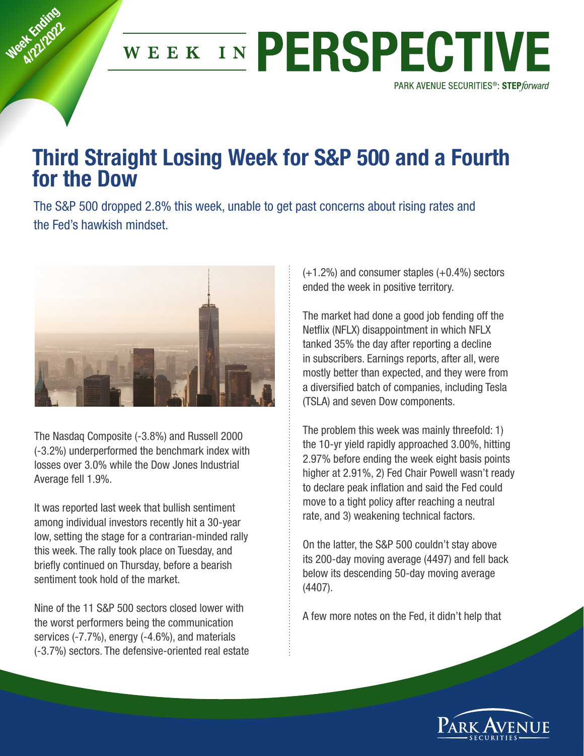

## Third Straight Losing Week for S&P 500 and a Fourth for the Dow

The S&P 500 dropped 2.8% this week, unable to get past concerns about rising rates and the Fed's hawkish mindset.



Week Knding at England

> The Nasdaq Composite (‐3.8%) and Russell 2000 (‐3.2%) underperformed the benchmark index with losses over 3.0% while the Dow Jones Industrial Average fell 1.9%.

> It was reported last week that bullish sentiment among individual investors recently hit a 30‐year low, setting the stage for a contrarian‐minded rally this week. The rally took place on Tuesday, and briefly continued on Thursday, before a bearish sentiment took hold of the market.

> Nine of the 11 S&P 500 sectors closed lower with the worst performers being the communication services (‐7.7%), energy (‐4.6%), and materials (‐3.7%) sectors. The defensive‐oriented real estate

(+1.2%) and consumer staples (+0.4%) sectors ended the week in positive territory.

The market had done a good job fending off the Netflix (NFLX) disappointment in which NFLX tanked 35% the day after reporting a decline in subscribers. Earnings reports, after all, were mostly better than expected, and they were from a diversified batch of companies, including Tesla (TSLA) and seven Dow components.

The problem this week was mainly threefold: 1) the 10‐yr yield rapidly approached 3.00%, hitting 2.97% before ending the week eight basis points higher at 2.91%, 2) Fed Chair Powell wasn't ready to declare peak inflation and said the Fed could move to a tight policy after reaching a neutral rate, and 3) weakening technical factors.

On the latter, the S&P 500 couldn't stay above its 200‐day moving average (4497) and fell back below its descending 50‐day moving average (4407).

A few more notes on the Fed, it didn't help that